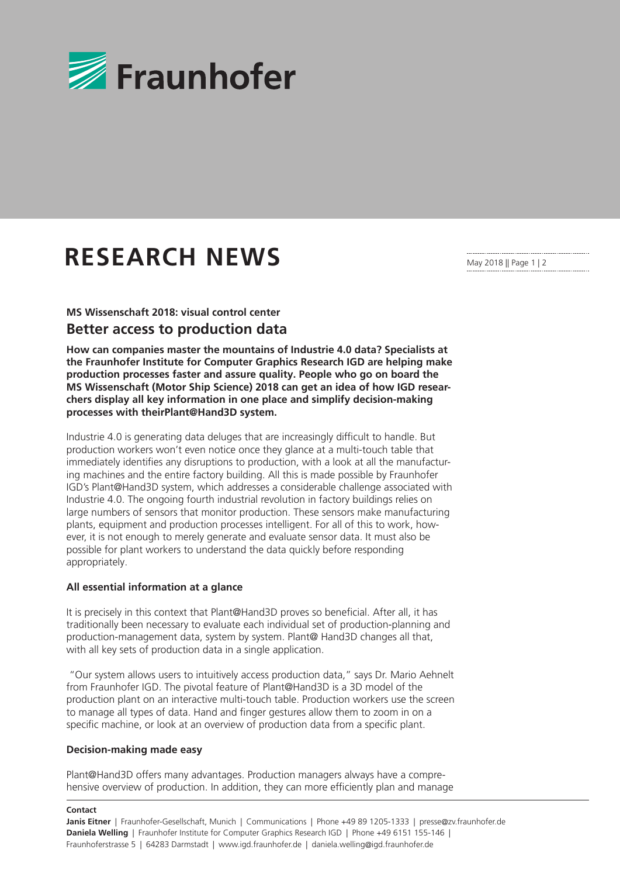

# **RESEARCH NEWS**

**MS Wissenschaft 2018: visual control center**

## **Better access to production data**

**How can companies master the mountains of Industrie 4.0 data? Specialists at the Fraunhofer Institute for Computer Graphics Research IGD are helping make production processes faster and assure quality. People who go on board the MS Wissenschaft (Motor Ship Science) 2018 can get an idea of how IGD researchers display all key information in one place and simplify decision-making processes with theirPlant@Hand3D system.**

Industrie 4.0 is generating data deluges that are increasingly difficult to handle. But production workers won't even notice once they glance at a multi-touch table that immediately identifies any disruptions to production, with a look at all the manufacturing machines and the entire factory building. All this is made possible by Fraunhofer IGD's Plant@Hand3D system, which addresses a considerable challenge associated with Industrie 4.0. The ongoing fourth industrial revolution in factory buildings relies on large numbers of sensors that monitor production. These sensors make manufacturing plants, equipment and production processes intelligent. For all of this to work, however, it is not enough to merely generate and evaluate sensor data. It must also be possible for plant workers to understand the data quickly before responding appropriately.

### **All essential information at a glance**

It is precisely in this context that Plant@Hand3D proves so beneficial. After all, it has traditionally been necessary to evaluate each individual set of production-planning and production-management data, system by system. Plant@ Hand3D changes all that, with all key sets of production data in a single application.

 "Our system allows users to intuitively access production data," says Dr. Mario Aehnelt from Fraunhofer IGD. The pivotal feature of Plant@Hand3D is a 3D model of the production plant on an interactive multi-touch table. Production workers use the screen to manage all types of data. Hand and finger gestures allow them to zoom in on a specific machine, or look at an overview of production data from a specific plant.

### **Decision-making made easy**

Plant@Hand3D offers many advantages. Production managers always have a comprehensive overview of production. In addition, they can more efficiently plan and manage

#### **Contact**

May 2018 || Page 1 | 2